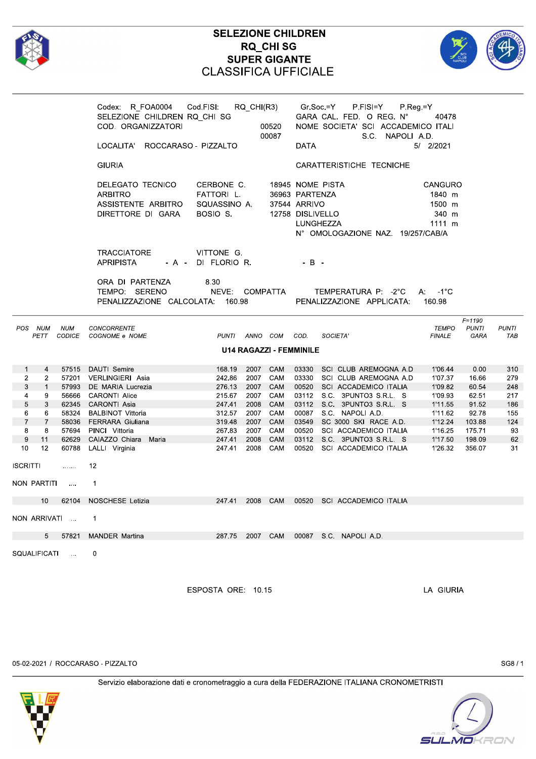

|                                                                                                                                                                                                               |                                                         | Codex: R_FOA0004 Cod.FISI:<br>RQ_CHI(R3)<br>SELEZIONE CHILDREN RQ CHI SG<br>COD. ORGANIZZATORI<br>00520<br>00087<br>LOCALITA' ROCCARASO - PIZZALTO                                                                                                     |                                                                                                                                                                                  |                                                                    | Gr.Soc.=Y<br>P.FISI=Y<br>$P$ Reg = Y<br>GARA CAL. FED. O REG. N°<br>40478<br>NOME SOCIETA' SCI ACCADEMICO ITALI<br>S.C. NAPOLI A.D.<br>5/ 2/2021<br><b>DATA</b> |                                                                                                                                                                                                                                                                                                               |                                                                                                            |                                                                                           |                                                                 |  |
|---------------------------------------------------------------------------------------------------------------------------------------------------------------------------------------------------------------|---------------------------------------------------------|--------------------------------------------------------------------------------------------------------------------------------------------------------------------------------------------------------------------------------------------------------|----------------------------------------------------------------------------------------------------------------------------------------------------------------------------------|--------------------------------------------------------------------|-----------------------------------------------------------------------------------------------------------------------------------------------------------------|---------------------------------------------------------------------------------------------------------------------------------------------------------------------------------------------------------------------------------------------------------------------------------------------------------------|------------------------------------------------------------------------------------------------------------|-------------------------------------------------------------------------------------------|-----------------------------------------------------------------|--|
|                                                                                                                                                                                                               |                                                         | <b>GIURIA</b>                                                                                                                                                                                                                                          |                                                                                                                                                                                  |                                                                    |                                                                                                                                                                 | CARATTERISTICHE TECNICHE                                                                                                                                                                                                                                                                                      |                                                                                                            |                                                                                           |                                                                 |  |
|                                                                                                                                                                                                               |                                                         | DELEGATO TECNICO<br>ARBITRO<br>ASSISTENTE ARBITRO<br>DIRETTORE DI GARA                                                                                                                                                                                 | CERBONE C.<br>FATTORI L.<br>SQUASSINO A.<br>BOSIO S.                                                                                                                             |                                                                    | 18945 NOME PISTA<br>36963 PARTENZA<br>37544 ARRIVO<br>12758 DISLIVELLO<br>LUNGHEZZA                                                                             | N° OMOLOGAZIONE NAZ. 19/257/CAB/A                                                                                                                                                                                                                                                                             | <b>CANGURO</b><br>1840 m<br>1500 m<br>340 m<br>1111 m                                                      |                                                                                           |                                                                 |  |
|                                                                                                                                                                                                               |                                                         | <b>TRACCIATORE</b><br><b>APRIPISTA</b>                                                                                                                                                                                                                 | VITTONE G.<br>- A - DI FLORIO R.                                                                                                                                                 |                                                                    | $-$ B $-$                                                                                                                                                       |                                                                                                                                                                                                                                                                                                               |                                                                                                            |                                                                                           |                                                                 |  |
|                                                                                                                                                                                                               |                                                         | ORA DI PARTENZA<br>TEMPO: SERENO<br>PENALIZZAZIONE CALCOLATA: 160.98                                                                                                                                                                                   | 8.30<br>NEVE: COMPATTA                                                                                                                                                           |                                                                    |                                                                                                                                                                 | TEMPERATURA P: -2°C<br>PENALIZZAZIONE APPLICATA:                                                                                                                                                                                                                                                              | $A: -1^{\circ}C$<br>160.98                                                                                 |                                                                                           |                                                                 |  |
| POS NUM<br><b>NUM</b><br>PETT                                                                                                                                                                                 |                                                         | <b>CONCORRENTE</b><br>CODICE COGNOME e NOME                                                                                                                                                                                                            | PUNTI ANNO COM                                                                                                                                                                   |                                                                    | COD.                                                                                                                                                            | SOCIETA'                                                                                                                                                                                                                                                                                                      | <b>TEMPO</b><br><b>FINALE</b>                                                                              | $F = 1190$<br><b>PUNTI</b><br>GARA                                                        | <b>PUNTI</b><br>TAB                                             |  |
| U14 RAGAZZI - FEMMINILE                                                                                                                                                                                       |                                                         |                                                                                                                                                                                                                                                        |                                                                                                                                                                                  |                                                                    |                                                                                                                                                                 |                                                                                                                                                                                                                                                                                                               |                                                                                                            |                                                                                           |                                                                 |  |
| $\mathbf{1}$<br>$\overline{4}$<br>$\overline{2}$<br>2<br>3<br>$\mathbf{1}$<br>4<br>9<br>5<br>3<br>6<br>6<br>$\overline{7}$<br>$\overline{7}$<br>8<br>8<br>9<br>11<br>12<br>10<br>ISCRITTI<br>.<br>NON PARTITI | 62345<br>58324<br>57694<br>62629<br>60788<br>$\sim 100$ | 57515 DAUTI Semire<br>57201 VERLINGIERI Asia<br>57993 DE MARIA Lucrezia<br>56666 CARONTI Alice<br>CARONTI Asia<br><b>BALBINOT Vittoria</b><br>58036 FERRARA Giuliana<br>PINCI Vittoria<br>CAIAZZO Chiara Maria<br>LALLI Virginia<br>12<br>$\mathbf{1}$ | 168.19<br>2007<br>242.86<br>2007<br>276.13<br>2007<br>215.67<br>2007<br>247.41<br>2008<br>312.57<br>2007<br>319.48<br>2007<br>267.83<br>2007<br>247.41<br>2008<br>247.41<br>2008 | CAM<br>CAM<br>CAM<br>CAM<br>CAM<br>CAM<br>CAM<br>CAM<br>CAM<br>CAM |                                                                                                                                                                 | 03330 SCI CLUB AREMOGNA A.D<br>03330 SCI CLUB AREMOGNA A.D<br>00520 SCI ACCADEMICO ITALIA<br>03112 S.C. 3PUNTO3 S.R.L. S<br>03112 S.C. 3PUNTO3 S.R.L. S<br>00087 S.C. NAPOLI A.D.<br>03549 SC 3000 SKI RACE A.D.<br>00520 SCI ACCADEMICO ITALIA<br>03112 S.C. 3PUNTO3 S.R.L. S<br>00520 SCI ACCADEMICO ITALIA | 1'06.44<br>1'07.37<br>1'09.82<br>1'09.93<br>1'11.55<br>1'11.62<br>1'12.24<br>1'16.25<br>1'17.50<br>1'26.32 | 0.00<br>16.66<br>60.54<br>62.51<br>91.52<br>92.78<br>103.88<br>175.71<br>198.09<br>356.07 | 310<br>279<br>248<br>217<br>186<br>155<br>124<br>93<br>62<br>31 |  |
|                                                                                                                                                                                                               |                                                         |                                                                                                                                                                                                                                                        |                                                                                                                                                                                  |                                                                    |                                                                                                                                                                 |                                                                                                                                                                                                                                                                                                               |                                                                                                            |                                                                                           |                                                                 |  |
| NON ARRIVATI  1                                                                                                                                                                                               |                                                         | 10 62104 NOSCHESE Letizia                                                                                                                                                                                                                              |                                                                                                                                                                                  |                                                                    |                                                                                                                                                                 | 247.41 2008 CAM 00520 SCI ACCADEMICO ITALIA                                                                                                                                                                                                                                                                   |                                                                                                            |                                                                                           |                                                                 |  |
|                                                                                                                                                                                                               |                                                         | 5 57821 MANDER Martina                                                                                                                                                                                                                                 |                                                                                                                                                                                  |                                                                    |                                                                                                                                                                 | 287.75 2007 CAM 00087 S.C. NAPOLIAD                                                                                                                                                                                                                                                                           |                                                                                                            |                                                                                           |                                                                 |  |
| SQUALIFICATI  0                                                                                                                                                                                               |                                                         |                                                                                                                                                                                                                                                        |                                                                                                                                                                                  |                                                                    |                                                                                                                                                                 |                                                                                                                                                                                                                                                                                                               |                                                                                                            |                                                                                           |                                                                 |  |

ESPOSTA ORE: 10.15

LA GIURIA



05-02-2021 / ROCCARASO - PIZZALTO

SG8/1

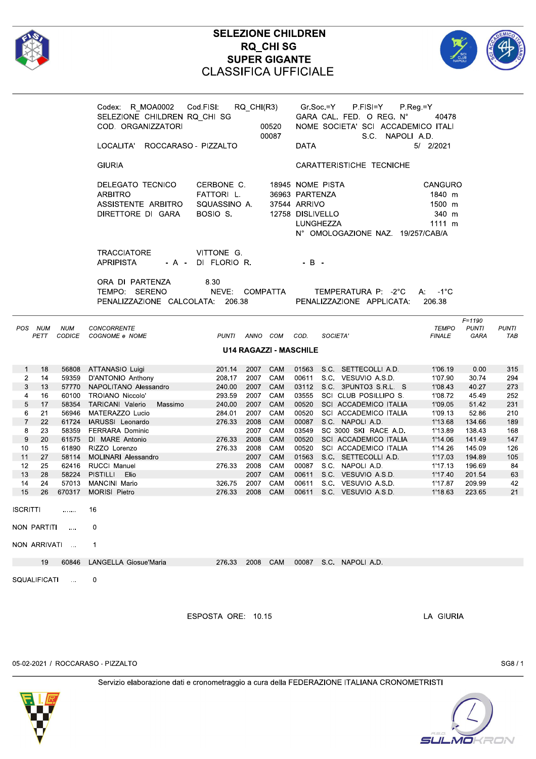

|                                                                                                                                                                                                              |                                                                                                                                                                     | Codex: R_MOA0002 Cod.FISI:<br>SELEZIONE CHILDREN RQ_CHI SG<br>COD. ORGANIZZATORI<br>LOCALITA' ROCCARASO - PIZZALTO                                                                                                                                                                                                                                                                  |                                                                                                                                                                                                      | RQ_CHI(R3)<br>00520<br>00087                                                                                                                         | Gr.Soc.=Y<br>P.FISI=Y<br>GARA CAL. FED. O REG. N°<br>NOME SOCIETA' SCI ACCADEMICO ITALI<br>DATA                                                                                                                                                                                                                                                                                                                                                                                                  | P.Reg.=Y<br>40478<br>S.C. NAPOLI A.D.<br>5/ 2/2021                                                                                                                |                                                                                                                                             |                                                                                                   |
|--------------------------------------------------------------------------------------------------------------------------------------------------------------------------------------------------------------|---------------------------------------------------------------------------------------------------------------------------------------------------------------------|-------------------------------------------------------------------------------------------------------------------------------------------------------------------------------------------------------------------------------------------------------------------------------------------------------------------------------------------------------------------------------------|------------------------------------------------------------------------------------------------------------------------------------------------------------------------------------------------------|------------------------------------------------------------------------------------------------------------------------------------------------------|--------------------------------------------------------------------------------------------------------------------------------------------------------------------------------------------------------------------------------------------------------------------------------------------------------------------------------------------------------------------------------------------------------------------------------------------------------------------------------------------------|-------------------------------------------------------------------------------------------------------------------------------------------------------------------|---------------------------------------------------------------------------------------------------------------------------------------------|---------------------------------------------------------------------------------------------------|
|                                                                                                                                                                                                              |                                                                                                                                                                     | <b>GIURIA</b>                                                                                                                                                                                                                                                                                                                                                                       |                                                                                                                                                                                                      |                                                                                                                                                      | CARATTERISTICHE TECNICHE                                                                                                                                                                                                                                                                                                                                                                                                                                                                         |                                                                                                                                                                   |                                                                                                                                             |                                                                                                   |
|                                                                                                                                                                                                              |                                                                                                                                                                     | DELEGATO TECNICO<br>ARBITRO<br>ASSISTENTE ARBITRO<br>DIRETTORE DI GARA                                                                                                                                                                                                                                                                                                              | CERBONE C.<br>FATTORI L.<br>SQUASSINO A.<br>BOSIO S.                                                                                                                                                 |                                                                                                                                                      | 18945 NOME PISTA<br>36963 PARTENZA<br>37544 ARRIVO<br>12758 DISLIVELLO<br>LUNGHEZZA<br>N° OMOLOGAZIONE NAZ. 19/257/CAB/A                                                                                                                                                                                                                                                                                                                                                                         | CANGURO<br>1840 m<br>1500 m<br>340 m<br>1111 m                                                                                                                    |                                                                                                                                             |                                                                                                   |
|                                                                                                                                                                                                              |                                                                                                                                                                     | <b>TRACCIATORE</b><br><b>APRIPISTA</b><br>- A -                                                                                                                                                                                                                                                                                                                                     | VITTONE G.<br>DI FLORIO R.                                                                                                                                                                           |                                                                                                                                                      | $-B -$                                                                                                                                                                                                                                                                                                                                                                                                                                                                                           |                                                                                                                                                                   |                                                                                                                                             |                                                                                                   |
|                                                                                                                                                                                                              |                                                                                                                                                                     | ORA DI PARTENZA<br>TEMPO: SERENO<br>PENALIZZAZIONE CALCOLATA: 206.38                                                                                                                                                                                                                                                                                                                | 8.30<br>NEVE: COMPATTA                                                                                                                                                                               |                                                                                                                                                      | TEMPERATURA P: -2°C<br>PENALIZZAZIONE APPLICATA:                                                                                                                                                                                                                                                                                                                                                                                                                                                 | $A: -1^{\circ}C$<br>206.38                                                                                                                                        |                                                                                                                                             |                                                                                                   |
| POS NUM<br>PETT                                                                                                                                                                                              | <b>NUM</b><br>CODICE                                                                                                                                                | CONCORRENTE<br>COGNOME e NOME                                                                                                                                                                                                                                                                                                                                                       | PUNTI ANNO COM                                                                                                                                                                                       |                                                                                                                                                      | COD.<br>SOCIETA'                                                                                                                                                                                                                                                                                                                                                                                                                                                                                 | <b>TEMPO</b><br><b>FINALE</b>                                                                                                                                     | $F = 1190$<br><b>PUNTI</b><br>GARA                                                                                                          | <b>PUNTI</b><br>TAB                                                                               |
|                                                                                                                                                                                                              |                                                                                                                                                                     |                                                                                                                                                                                                                                                                                                                                                                                     |                                                                                                                                                                                                      | <b>U14 RAGAZZI - MASCHILE</b>                                                                                                                        |                                                                                                                                                                                                                                                                                                                                                                                                                                                                                                  |                                                                                                                                                                   |                                                                                                                                             |                                                                                                   |
| 18<br>$\mathbf{1}$<br>14<br>$\overline{2}$<br>3<br>13<br>16<br>4<br>17<br>5<br>6<br>21<br>22<br>$\overline{7}$<br>8<br>23<br>9<br>20<br>15<br>10<br>27<br>11<br>25<br>12<br>28<br>13<br>24<br>14<br>15<br>26 | 56808<br>59359<br>57770<br>60100<br>58354<br>56946<br>61724<br>58359<br>61575<br>61890<br>58114<br>62416<br>58224<br>57013<br>670317<br>NON PARTITI<br>NON ARRIVATI | ATTANASIO Luigi<br>D'ANTONIO Anthony<br>NAPOLITANO Alessandro<br>TROIANO Niccolo'<br>TARICANI Valerio<br>Massimo<br>MATERAZZO Lucio<br>IARUSSI Leonardo<br><b>FERRARA Dominic</b><br>DI MARE Antonio<br>RIZZO Lorenzo<br>MOLINARI Alessandro<br><b>RUCCI Manuel</b><br><b>PISTILLI</b><br>Elio<br><b>MANCINI Mario</b><br><b>MORISI Pietro</b><br>16<br>$\mathbf 0$<br>$\mathbf{1}$ | 201.14<br>2007<br>208.17<br>2007<br>240.00<br>293.59<br>240.00<br>284.01<br>2007<br>276.33<br>2008<br>2008<br>276.33<br>276.33<br>2008<br>276.33<br>2008<br>2007<br>2007<br>326.75<br>2008<br>276.33 | <b>CAM</b><br>CAM<br>2007<br>CAM<br>2007<br>CAM<br>CAM<br>2007<br>CAM<br>CAM<br>CAM<br>2007<br>CAM<br>CAM<br>CAM<br>2007<br>CAM<br>CAM<br>CAM<br>CAM | S.C. SETTECOLLI A.D.<br>01563<br>00611 S.C. VESUVIO A.S.D.<br>03112 S.C. 3PUNTO3 S.R.L. S<br>SCI CLUB POSILLIPO S.<br>03555<br>00520<br>SCI ACCADEMICO ITALIA<br>00520<br>SCI ACCADEMICO ITALIA<br>S.C. NAPOLI A.D.<br>00087<br>03549<br>SC 3000 SKI RACE A.D.<br>00520<br>SCI ACCADEMICO ITALIA<br>00520<br>SCI ACCADEMICO ITALIA<br>01563<br>S.C. SETTECOLLI A.D.<br>S.C. NAPOLI A.D.<br>00087<br>00611<br>S.C. VESUVIO A.S.D.<br>00611<br>S.C. VESUVIO A.S.D.<br>S.C. VESUVIO A.S.D.<br>00611 | 1'06.19<br>1'07.90<br>1'08.43<br>1'08.72<br>1'09.05<br>1'09.13<br>1'13.68<br>1'13.89<br>1'14.06<br>1'14.26<br>1'17.03<br>1'17.13<br>1'17.40<br>1'17.87<br>1'18.63 | 0.00<br>30.74<br>40.27<br>45.49<br>51.42<br>52.86<br>134.66<br>138.43<br>141.49<br>145.09<br>194.89<br>196.69<br>201.54<br>209.99<br>223.65 | 315<br>294<br>273<br>252<br>231<br>210<br>189<br>168<br>147<br>126<br>105<br>84<br>63<br>42<br>21 |
| 19                                                                                                                                                                                                           |                                                                                                                                                                     | 60846 LANGELLA Giosue'Maria                                                                                                                                                                                                                                                                                                                                                         |                                                                                                                                                                                                      |                                                                                                                                                      | 276.33  2008  CAM  00087  S.C. NAPOLI A.D.                                                                                                                                                                                                                                                                                                                                                                                                                                                       |                                                                                                                                                                   |                                                                                                                                             |                                                                                                   |
|                                                                                                                                                                                                              | SQUALIFICATI                                                                                                                                                        | $\mathbf 0$                                                                                                                                                                                                                                                                                                                                                                         | ESPOSTA ORE: 10.15                                                                                                                                                                                   |                                                                                                                                                      |                                                                                                                                                                                                                                                                                                                                                                                                                                                                                                  | LA GIURIA                                                                                                                                                         |                                                                                                                                             |                                                                                                   |

#### 05-02-2021 / ROCCARASO - PIZZALTO

SG8/1



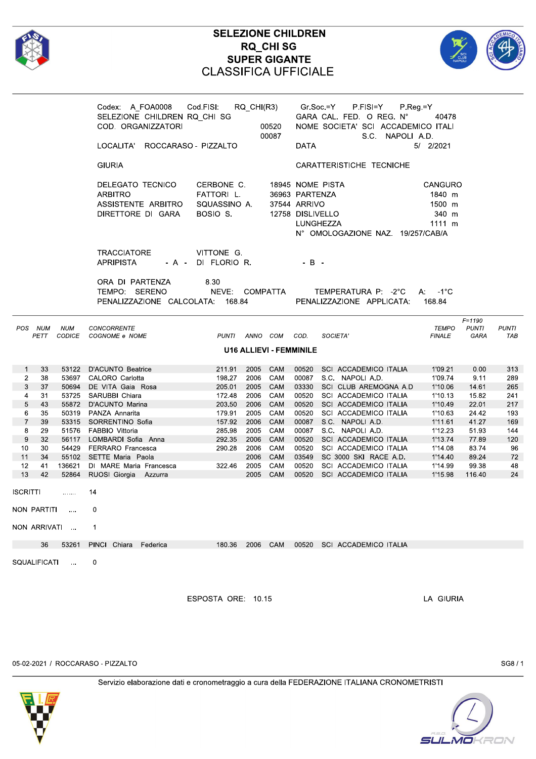

|                                |                                |                      | Codex: A_FOA0008    Cod.FISI:    RQ_CHI(R3)    Gr.Soc.=Y<br>SELEZIONE CHILDREN RQ_CHI SG<br>COD. ORGANIZZATORI<br>00520<br>00087<br>LOCALITA' ROCCARASO - PIZZALTO |                                                      |            | P.FISI=Y<br>$P$ Reg = Y<br>GARA CAL. FED. O REG. N°<br>40478<br>NOME SOCIETA' SCI ACCADEMICO ITALI<br>S.C. NAPOLI A.D.<br>5/ 2/2021<br><b>DATA</b>                         |                     |  |  |  |
|--------------------------------|--------------------------------|----------------------|--------------------------------------------------------------------------------------------------------------------------------------------------------------------|------------------------------------------------------|------------|----------------------------------------------------------------------------------------------------------------------------------------------------------------------------|---------------------|--|--|--|
|                                |                                |                      | <b>GIURIA</b>                                                                                                                                                      |                                                      |            | CARATTERISTICHE TECNICHE                                                                                                                                                   |                     |  |  |  |
|                                |                                |                      | DELEGATO TECNICO<br><b>ARBITRO</b><br>ASSISTENTE ARBITRO<br>DIRETTORE DI GARA                                                                                      | CERBONE C.<br>FATTORI L.<br>SQUASSINO A.<br>BOSIO S. |            | 18945 NOME PISTA<br>CANGURO<br>36963 PARTENZA<br>1840 m<br>37544 ARRIVO<br>1500 m<br>12758 DISLIVELLO<br>340 m<br>1111 m<br>LUNGHEZZA<br>N° OMOLOGAZIONE NAZ. 19/257/CAB/A |                     |  |  |  |
|                                |                                |                      | <b>TRACCIATORE</b><br><b>APRIPISTA</b>                                                                                                                             | VITTONE G.<br>- A - DI FLORIO R.                     |            | $-B -$                                                                                                                                                                     |                     |  |  |  |
|                                |                                |                      | ORA DI PARTENZA<br>TEMPO: SERENO<br>PENALIZZAZIONE CALCOLATA: 168.84                                                                                               | 8.30<br>NEVE: COMPATTA                               |            | TEMPERATURA P: -2°C<br>$A: -1^{\circ}C$<br>PENALIZZAZIONE APPLICATA:<br>168.84                                                                                             |                     |  |  |  |
| POS NUM                        | PETT                           | <b>NUM</b><br>CODICE | CONCORRENTE<br>COGNOME e NOME                                                                                                                                      | PUNTI ANNO COM                                       |            | $F = 1190$<br><b>TEMPO</b><br><b>PUNTI</b><br>COD.<br>SOCIETA'<br><b>FINALE</b><br>GARA                                                                                    | <b>PUNTI</b><br>TAB |  |  |  |
|                                | <b>U16 ALLIEVI - FEMMINILE</b> |                      |                                                                                                                                                                    |                                                      |            |                                                                                                                                                                            |                     |  |  |  |
| $\mathbf{1}$<br>$\overline{2}$ | 33<br>38                       |                      | 53122 D'ACUNTO Beatrice<br>53697 CALORO Carlotta                                                                                                                   | 211.91<br>2005<br>198.27<br>2006                     | CAM<br>CAM | 00520 SCI ACCADEMICO ITALIA<br>1'09.21<br>0.00<br>00087 S.C. NAPOLI A.D.<br>1'09.74<br>9.11                                                                                | 313<br>289          |  |  |  |
| 3                              | 37                             |                      | 50694 DE VITA Gaia Rosa                                                                                                                                            | 205.01<br>2005                                       | CAM        | 03330 SCI CLUB AREMOGNA A.D<br>1'10.06<br>14.61                                                                                                                            | 265                 |  |  |  |
| $\overline{4}$                 | 31                             | 53725                | SARUBBI Chiara                                                                                                                                                     | 172.48<br>2006                                       | CAM        | 00520 SCI ACCADEMICO ITALIA<br>15.82<br>1'10.13                                                                                                                            | 241                 |  |  |  |
| 5                              | 43                             |                      | 55872 D'ACUNTO Marina                                                                                                                                              | 203.50<br>2006                                       | CAM        | 00520<br>22.01<br>SCI ACCADEMICO ITALIA<br>1'10.49                                                                                                                         | 217                 |  |  |  |
| 6                              | 35                             | 50319                | PANZA Annarita                                                                                                                                                     | 179.91<br>2005                                       | CAM        | 00520 SCI ACCADEMICO ITALIA<br>1'10.63<br>24.42                                                                                                                            | 193                 |  |  |  |
| $\overline{7}$                 | 39                             |                      | 53315 SORRENTINO Sofia                                                                                                                                             | 157.92<br>2006                                       | <b>CAM</b> | 00087 S.C. NAPOLI A.D.<br>41.27<br>1'11.61                                                                                                                                 | 169                 |  |  |  |
| 8                              | 29                             | 51576                | FABBIO Vittoria                                                                                                                                                    | 285.98<br>2005                                       | CAM        | 00087 S.C. NAPOLI A.D.<br>1'12.23<br>51.93                                                                                                                                 | 144                 |  |  |  |
| 9                              | 32                             |                      | 56117 LOMBARDI Sofia Anna                                                                                                                                          | 292.35<br>2006                                       | CAM        | 00520 SCI ACCADEMICO ITALIA<br>77.89<br>1'13.74                                                                                                                            | 120                 |  |  |  |
| 10                             | 30                             |                      | 54429 FERRARO Francesca                                                                                                                                            | 290.28<br>2006                                       | CAM        | 00520<br>SCI ACCADEMICO ITALIA<br>1'14.08<br>83.74                                                                                                                         | 96                  |  |  |  |
| 11                             | 34                             | 55102                | SETTE Maria Paola                                                                                                                                                  | 2006                                                 | CAM        | 03549 SC 3000 SKI RACE A.D.<br>1'14.40<br>89.24                                                                                                                            | 72                  |  |  |  |
| 12<br>13                       | 41<br>42                       | 52864                | 136621 DI MARE Maria Francesca<br>RUOSI Giorgia Azzurra                                                                                                            | 322.46<br>2005<br>2005                               | CAM<br>CAM | 00520 SCI ACCADEMICO ITALIA<br>99.38<br>1'14.99<br>00520<br>SCI ACCADEMICO ITALIA<br>1'15.98<br>116.40                                                                     | 48<br>24            |  |  |  |
| <b>ISCRITTI</b>                |                                | .                    | 14                                                                                                                                                                 |                                                      |            |                                                                                                                                                                            |                     |  |  |  |
| NON PARTITI                    |                                |                      | 0                                                                                                                                                                  |                                                      |            |                                                                                                                                                                            |                     |  |  |  |
|                                |                                | NON ARRIVATI         | 1                                                                                                                                                                  |                                                      |            |                                                                                                                                                                            |                     |  |  |  |
|                                | 36                             | 53261                | PINCI Chiara<br>Federica                                                                                                                                           | 2006<br>180.36                                       | CAM        | 00520 SCI ACCADEMICO ITALIA                                                                                                                                                |                     |  |  |  |
| SQUALIFICATI                   |                                | $\cdots$             | 0                                                                                                                                                                  |                                                      |            |                                                                                                                                                                            |                     |  |  |  |

ESPOSTA ORE: 10.15

LA GIURIA

05-02-2021 / ROCCARASO - PIZZALTO

SG8/1



SULMOKRON